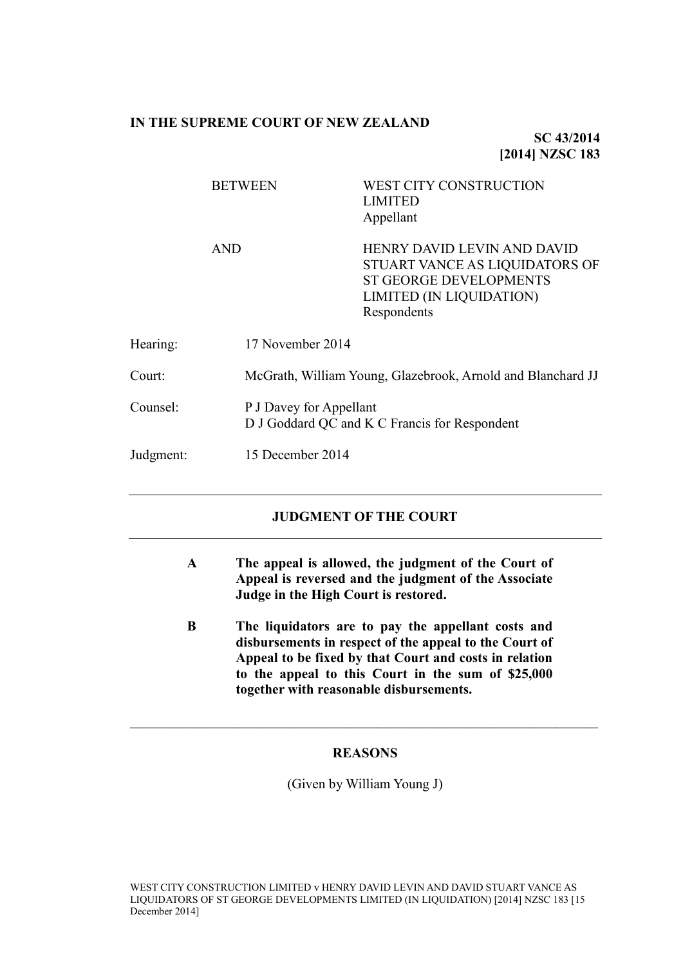### **IN THE SUPREME COURT OF NEW ZEALAND**

**SC 43/2014 [2014] NZSC 183**

|           | <b>BETWEEN</b>   | <b>WEST CITY CONSTRUCTION</b><br><b>LIMITED</b><br>Appellant                                                                                            |  |
|-----------|------------------|---------------------------------------------------------------------------------------------------------------------------------------------------------|--|
|           | <b>AND</b>       | <b>HENRY DAVID LEVIN AND DAVID</b><br>STUART VANCE AS LIQUIDATORS OF<br><b>ST GEORGE DEVELOPMENTS</b><br><b>LIMITED (IN LIQUIDATION)</b><br>Respondents |  |
| Hearing:  | 17 November 2014 |                                                                                                                                                         |  |
| Court:    |                  | McGrath, William Young, Glazebrook, Arnold and Blanchard JJ                                                                                             |  |
| Counsel:  |                  | P J Davey for Appellant<br>D J Goddard QC and K C Francis for Respondent                                                                                |  |
| Judgment: | 15 December 2014 |                                                                                                                                                         |  |
|           |                  |                                                                                                                                                         |  |

## **JUDGMENT OF THE COURT**

- **A The appeal is allowed, the judgment of the Court of Appeal is reversed and the judgment of the Associate Judge in the High Court is restored.**
- **B The liquidators are to pay the appellant costs and disbursements in respect of the appeal to the Court of Appeal to be fixed by that Court and costs in relation to the appeal to this Court in the sum of \$25,000 together with reasonable disbursements.**

## **REASONS**

 $\mathcal{L}_\mathcal{L} = \mathcal{L}_\mathcal{L} = \mathcal{L}_\mathcal{L} = \mathcal{L}_\mathcal{L} = \mathcal{L}_\mathcal{L} = \mathcal{L}_\mathcal{L} = \mathcal{L}_\mathcal{L} = \mathcal{L}_\mathcal{L} = \mathcal{L}_\mathcal{L} = \mathcal{L}_\mathcal{L} = \mathcal{L}_\mathcal{L} = \mathcal{L}_\mathcal{L} = \mathcal{L}_\mathcal{L} = \mathcal{L}_\mathcal{L} = \mathcal{L}_\mathcal{L} = \mathcal{L}_\mathcal{L} = \mathcal{L}_\mathcal{L}$ 

(Given by William Young J)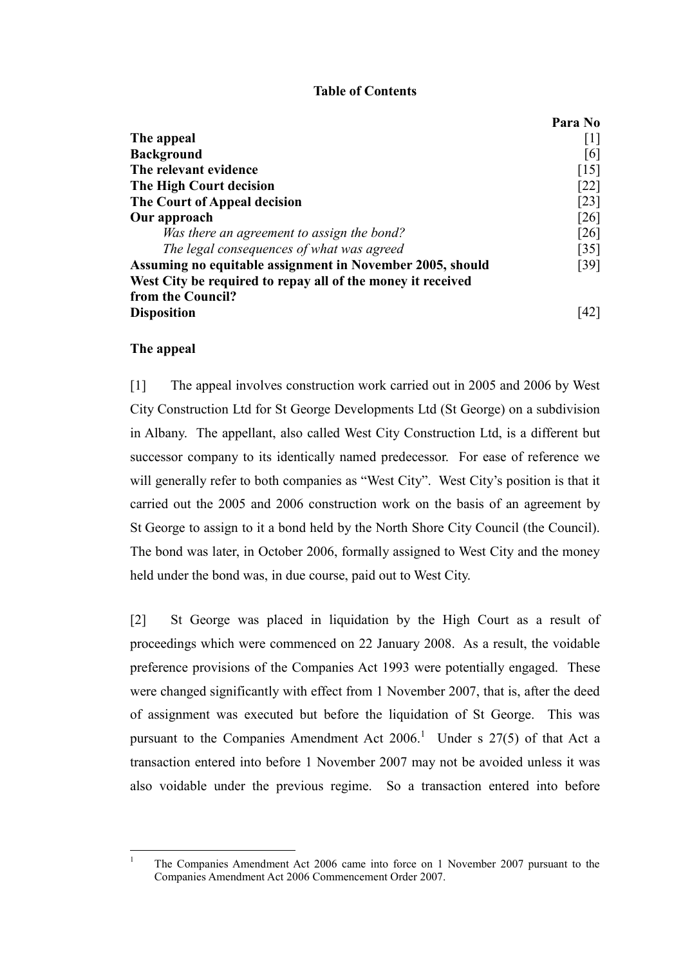### **Table of Contents**

|                                                             | Para No            |
|-------------------------------------------------------------|--------------------|
| The appeal                                                  | 1                  |
| <b>Background</b>                                           | 161                |
| The relevant evidence                                       | $\lceil 15 \rceil$ |
| The High Court decision                                     | $\lceil 22 \rceil$ |
| The Court of Appeal decision                                | $\lceil 23 \rceil$ |
| Our approach                                                | $\lceil 26 \rceil$ |
| Was there an agreement to assign the bond?                  | $\lceil 26 \rceil$ |
| The legal consequences of what was agreed                   | $\left[35\right]$  |
| Assuming no equitable assignment in November 2005, should   | [39]               |
| West City be required to repay all of the money it received |                    |
| from the Council?                                           |                    |
| <b>Disposition</b>                                          |                    |

#### **The appeal**

 $\overline{1}$ 

<span id="page-1-0"></span>[1] The appeal involves construction work carried out in 2005 and 2006 by West City Construction Ltd for St George Developments Ltd (St George) on a subdivision in Albany. The appellant, also called West City Construction Ltd, is a different but successor company to its identically named predecessor. For ease of reference we will generally refer to both companies as "West City". West City's position is that it carried out the 2005 and 2006 construction work on the basis of an agreement by St George to assign to it a bond held by the North Shore City Council (the Council). The bond was later, in October 2006, formally assigned to West City and the money held under the bond was, in due course, paid out to West City.

[2] St George was placed in liquidation by the High Court as a result of proceedings which were commenced on 22 January 2008. As a result, the voidable preference provisions of the Companies Act 1993 were potentially engaged. These were changed significantly with effect from 1 November 2007, that is, after the deed of assignment was executed but before the liquidation of St George. This was pursuant to the Companies Amendment Act  $2006$ .<sup>1</sup> Under s  $27(5)$  of that Act a transaction entered into before 1 November 2007 may not be avoided unless it was also voidable under the previous regime. So a transaction entered into before

<sup>1</sup> The Companies Amendment Act 2006 came into force on 1 November 2007 pursuant to the Companies Amendment Act 2006 Commencement Order 2007.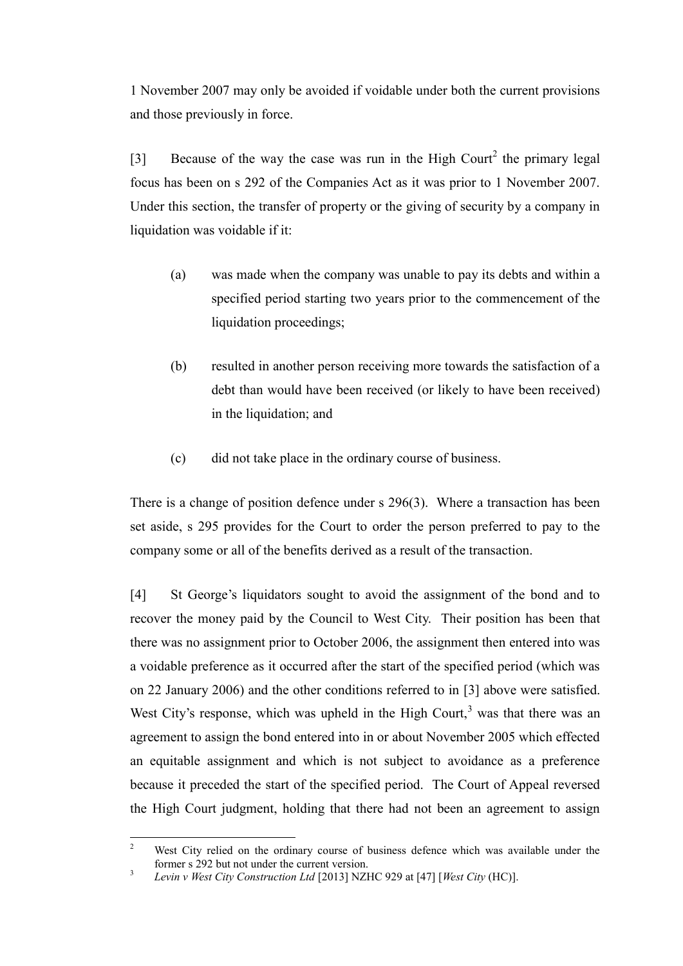1 November 2007 may only be avoided if voidable under both the current provisions and those previously in force.

<span id="page-2-0"></span>[3] Because of the way the case was run in the High Court<sup>2</sup> the primary legal focus has been on s 292 of the Companies Act as it was prior to 1 November 2007. Under this section, the transfer of property or the giving of security by a company in liquidation was voidable if it:

- (a) was made when the company was unable to pay its debts and within a specified period starting two years prior to the commencement of the liquidation proceedings;
- (b) resulted in another person receiving more towards the satisfaction of a debt than would have been received (or likely to have been received) in the liquidation; and
- (c) did not take place in the ordinary course of business.

There is a change of position defence under s 296(3). Where a transaction has been set aside, s 295 provides for the Court to order the person preferred to pay to the company some or all of the benefits derived as a result of the transaction.

<span id="page-2-1"></span>[4] St George's liquidators sought to avoid the assignment of the bond and to recover the money paid by the Council to West City. Their position has been that there was no assignment prior to October 2006, the assignment then entered into was a voidable preference as it occurred after the start of the specified period (which was on 22 January 2006) and the other conditions referred to in [\[3\]](#page-2-0) above were satisfied. West City's response, which was upheld in the High Court, $3$  was that there was an agreement to assign the bond entered into in or about November 2005 which effected an equitable assignment and which is not subject to avoidance as a preference because it preceded the start of the specified period. The Court of Appeal reversed the High Court judgment, holding that there had not been an agreement to assign

 $\sqrt{2}$ West City relied on the ordinary course of business defence which was available under the former s 292 but not under the current version.

<sup>3</sup> *Levin v West City Construction Ltd* [2013] NZHC 929 at [47] [*West City* (HC)].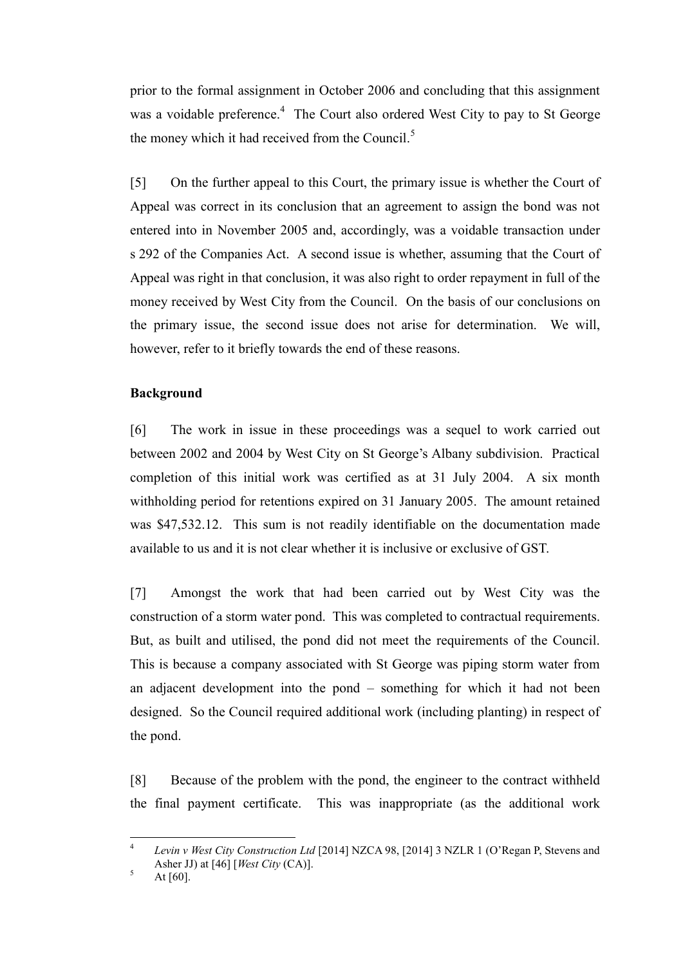<span id="page-3-1"></span>prior to the formal assignment in October 2006 and concluding that this assignment was a voidable preference.<sup>4</sup> The Court also ordered West City to pay to St George the money which it had received from the Council. $<sup>5</sup>$ </sup>

[5] On the further appeal to this Court, the primary issue is whether the Court of Appeal was correct in its conclusion that an agreement to assign the bond was not entered into in November 2005 and, accordingly, was a voidable transaction under s 292 of the Companies Act. A second issue is whether, assuming that the Court of Appeal was right in that conclusion, it was also right to order repayment in full of the money received by West City from the Council. On the basis of our conclusions on the primary issue, the second issue does not arise for determination. We will, however, refer to it briefly towards the end of these reasons.

## **Background**

<span id="page-3-0"></span>[6] The work in issue in these proceedings was a sequel to work carried out between 2002 and 2004 by West City on St George's Albany subdivision. Practical completion of this initial work was certified as at 31 July 2004. A six month withholding period for retentions expired on 31 January 2005. The amount retained was \$47,532.12. This sum is not readily identifiable on the documentation made available to us and it is not clear whether it is inclusive or exclusive of GST.

[7] Amongst the work that had been carried out by West City was the construction of a storm water pond. This was completed to contractual requirements. But, as built and utilised, the pond did not meet the requirements of the Council. This is because a company associated with St George was piping storm water from an adjacent development into the pond – something for which it had not been designed. So the Council required additional work (including planting) in respect of the pond.

[8] Because of the problem with the pond, the engineer to the contract withheld the final payment certificate. This was inappropriate (as the additional work

 $\frac{1}{4}$ *Levin v West City Construction Ltd* [2014] NZCA 98, [2014] 3 NZLR 1 (O'Regan P, Stevens and Asher JJ) at [46] [*West City* (CA)].

 $5$  At [60].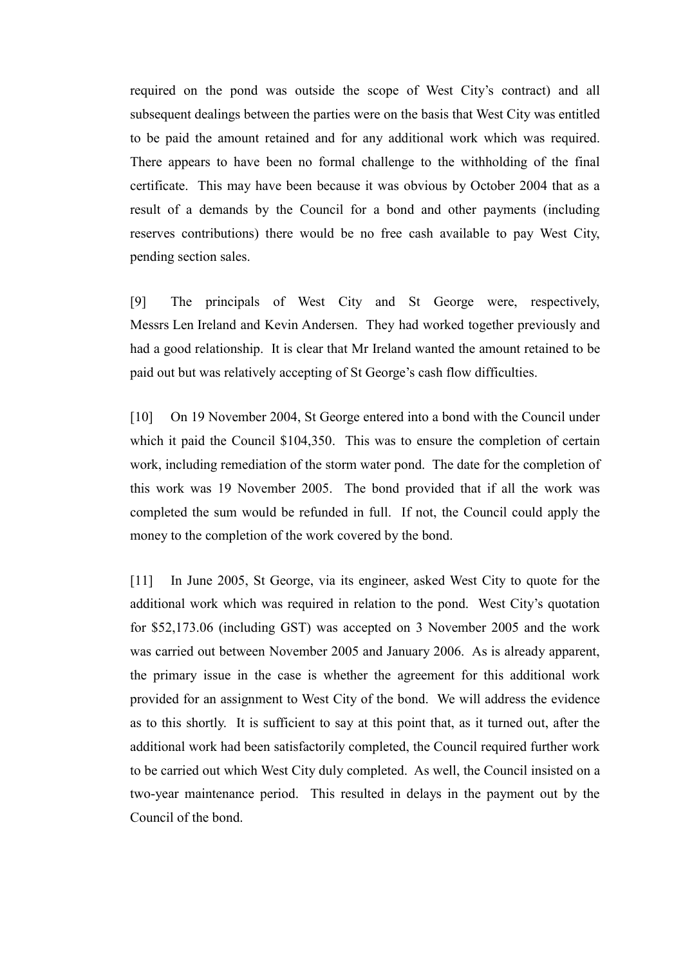required on the pond was outside the scope of West City's contract) and all subsequent dealings between the parties were on the basis that West City was entitled to be paid the amount retained and for any additional work which was required. There appears to have been no formal challenge to the withholding of the final certificate. This may have been because it was obvious by October 2004 that as a result of a demands by the Council for a bond and other payments (including reserves contributions) there would be no free cash available to pay West City, pending section sales.

[9] The principals of West City and St George were, respectively, Messrs Len Ireland and Kevin Andersen. They had worked together previously and had a good relationship. It is clear that Mr Ireland wanted the amount retained to be paid out but was relatively accepting of St George's cash flow difficulties.

[10] On 19 November 2004, St George entered into a bond with the Council under which it paid the Council \$104,350. This was to ensure the completion of certain work, including remediation of the storm water pond. The date for the completion of this work was 19 November 2005. The bond provided that if all the work was completed the sum would be refunded in full. If not, the Council could apply the money to the completion of the work covered by the bond.

[11] In June 2005, St George, via its engineer, asked West City to quote for the additional work which was required in relation to the pond. West City's quotation for \$52,173.06 (including GST) was accepted on 3 November 2005 and the work was carried out between November 2005 and January 2006. As is already apparent, the primary issue in the case is whether the agreement for this additional work provided for an assignment to West City of the bond. We will address the evidence as to this shortly. It is sufficient to say at this point that, as it turned out, after the additional work had been satisfactorily completed, the Council required further work to be carried out which West City duly completed. As well, the Council insisted on a two-year maintenance period. This resulted in delays in the payment out by the Council of the bond.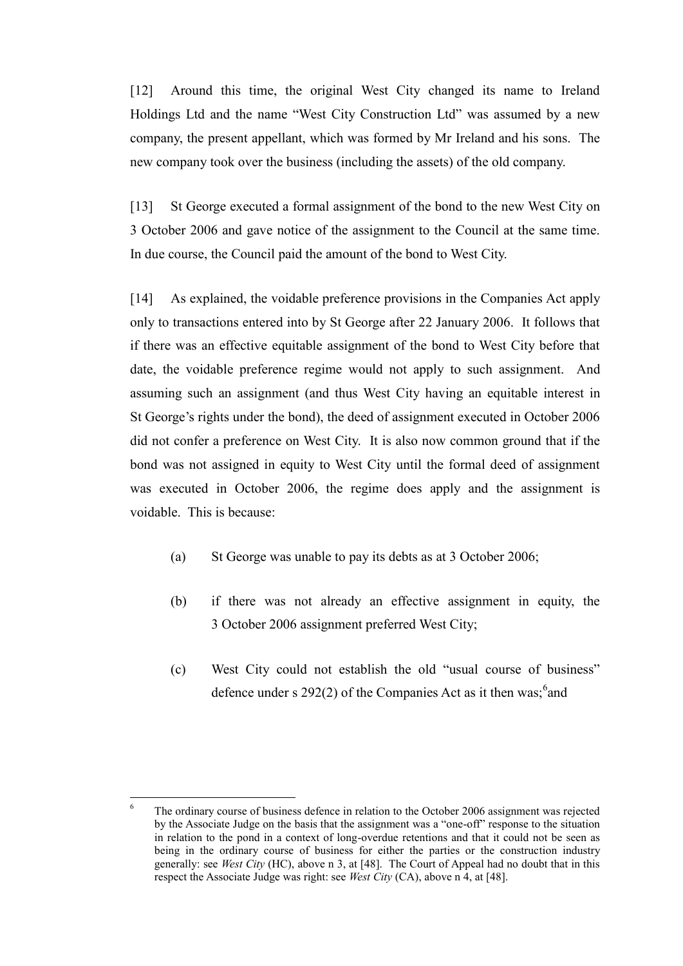[12] Around this time, the original West City changed its name to Ireland Holdings Ltd and the name "West City Construction Ltd" was assumed by a new company, the present appellant, which was formed by Mr Ireland and his sons. The new company took over the business (including the assets) of the old company.

[13] St George executed a formal assignment of the bond to the new West City on 3 October 2006 and gave notice of the assignment to the Council at the same time. In due course, the Council paid the amount of the bond to West City.

[14] As explained, the voidable preference provisions in the Companies Act apply only to transactions entered into by St George after 22 January 2006. It follows that if there was an effective equitable assignment of the bond to West City before that date, the voidable preference regime would not apply to such assignment. And assuming such an assignment (and thus West City having an equitable interest in St George's rights under the bond), the deed of assignment executed in October 2006 did not confer a preference on West City. It is also now common ground that if the bond was not assigned in equity to West City until the formal deed of assignment was executed in October 2006, the regime does apply and the assignment is voidable. This is because:

- (a) St George was unable to pay its debts as at 3 October 2006;
- (b) if there was not already an effective assignment in equity, the 3 October 2006 assignment preferred West City;
- (c) West City could not establish the old "usual course of business" defence under s  $292(2)$  of the Companies Act as it then was; and

<sup>6</sup> The ordinary course of business defence in relation to the October 2006 assignment was rejected by the Associate Judge on the basis that the assignment was a "one-off" response to the situation in relation to the pond in a context of long-overdue retentions and that it could not be seen as being in the ordinary course of business for either the parties or the construction industry generally: see *West City* (HC), above n [3,](#page-2-1) at [48]. The Court of Appeal had no doubt that in this respect the Associate Judge was right: see *West City* (CA), above n [4,](#page-3-1) at [48].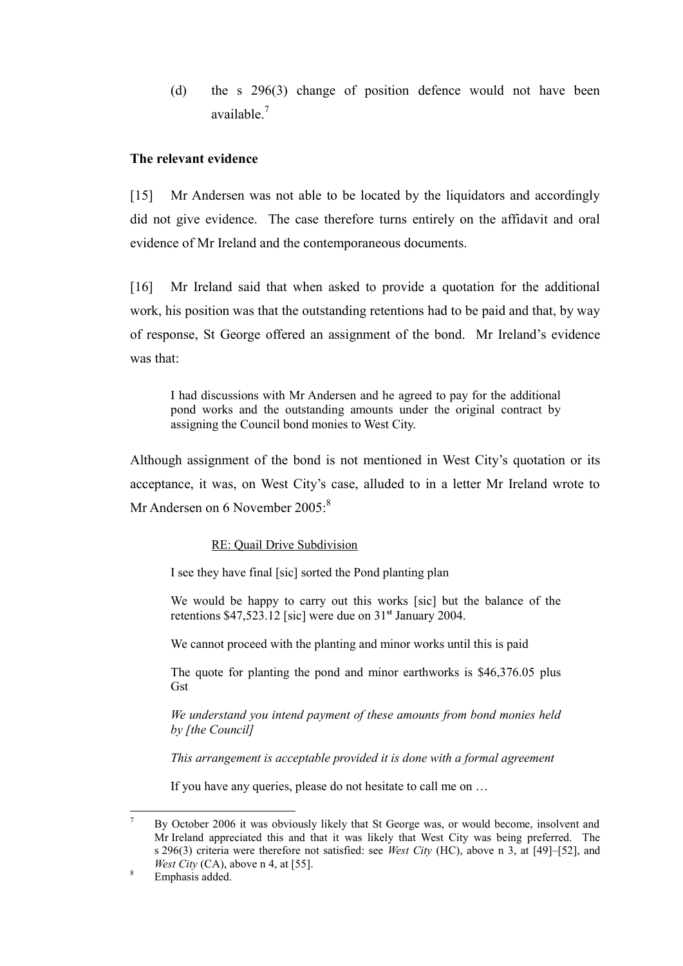(d) the s 296(3) change of position defence would not have been available.<sup>7</sup>

# **The relevant evidence**

<span id="page-6-0"></span>[15] Mr Andersen was not able to be located by the liquidators and accordingly did not give evidence. The case therefore turns entirely on the affidavit and oral evidence of Mr Ireland and the contemporaneous documents.

[16] Mr Ireland said that when asked to provide a quotation for the additional work, his position was that the outstanding retentions had to be paid and that, by way of response, St George offered an assignment of the bond. Mr Ireland's evidence was that:

I had discussions with Mr Andersen and he agreed to pay for the additional pond works and the outstanding amounts under the original contract by assigning the Council bond monies to West City.

Although assignment of the bond is not mentioned in West City's quotation or its acceptance, it was, on West City's case, alluded to in a letter Mr Ireland wrote to Mr Andersen on 6 November 2005:<sup>8</sup>

## RE: Quail Drive Subdivision

I see they have final [sic] sorted the Pond planting plan

We would be happy to carry out this works [sic] but the balance of the retentions \$47,523.12 [sic] were due on 31**st** January 2004.

We cannot proceed with the planting and minor works until this is paid

The quote for planting the pond and minor earthworks is \$46,376.05 plus **Gst** 

*We understand you intend payment of these amounts from bond monies held by [the Council]*

*This arrangement is acceptable provided it is done with a formal agreement*

If you have any queries, please do not hesitate to call me on …

 $\overline{a}$ <sup>7</sup> By October 2006 it was obviously likely that St George was, or would become, insolvent and Mr Ireland appreciated this and that it was likely that West City was being preferred. The s 296(3) criteria were therefore not satisfied: see *West City* (HC), above n [3,](#page-2-1) at [49]–[52], and *West City* (CA), above n [4,](#page-3-1) at [55].

<sup>&</sup>lt;sup>8</sup> Emphasis added.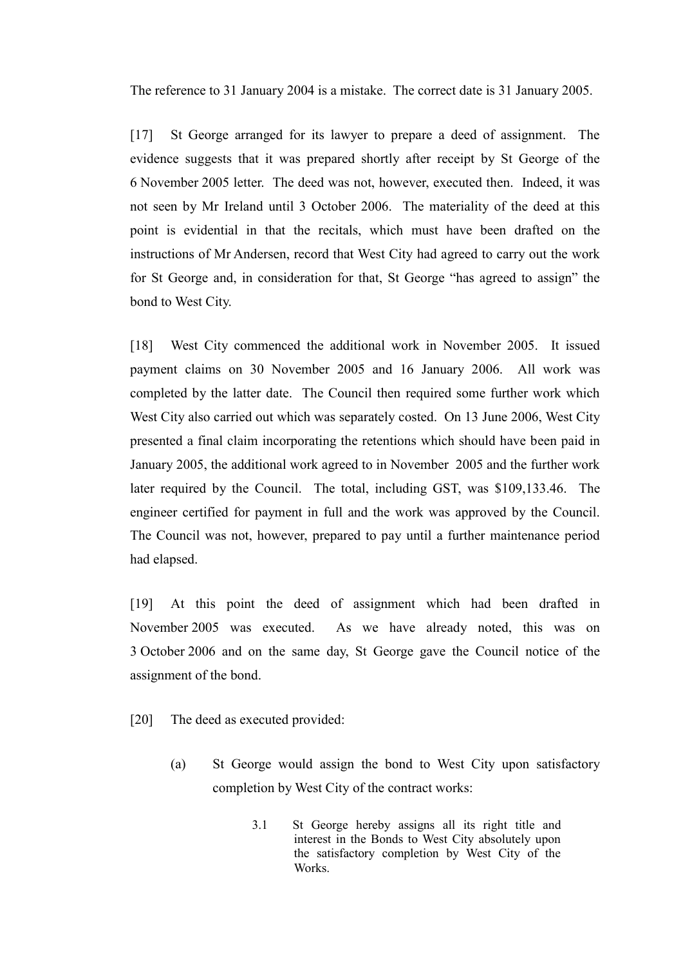The reference to 31 January 2004 is a mistake. The correct date is 31 January 2005.

[17] St George arranged for its lawyer to prepare a deed of assignment. The evidence suggests that it was prepared shortly after receipt by St George of the 6 November 2005 letter. The deed was not, however, executed then. Indeed, it was not seen by Mr Ireland until 3 October 2006. The materiality of the deed at this point is evidential in that the recitals, which must have been drafted on the instructions of Mr Andersen, record that West City had agreed to carry out the work for St George and, in consideration for that, St George "has agreed to assign" the bond to West City.

[18] West City commenced the additional work in November 2005. It issued payment claims on 30 November 2005 and 16 January 2006. All work was completed by the latter date. The Council then required some further work which West City also carried out which was separately costed. On 13 June 2006, West City presented a final claim incorporating the retentions which should have been paid in January 2005, the additional work agreed to in November 2005 and the further work later required by the Council. The total, including GST, was \$109,133.46. The engineer certified for payment in full and the work was approved by the Council. The Council was not, however, prepared to pay until a further maintenance period had elapsed.

[19] At this point the deed of assignment which had been drafted in November 2005 was executed. As we have already noted, this was on 3 October 2006 and on the same day, St George gave the Council notice of the assignment of the bond.

- [20] The deed as executed provided:
	- (a) St George would assign the bond to West City upon satisfactory completion by West City of the contract works:
		- 3.1 St George hereby assigns all its right title and interest in the Bonds to West City absolutely upon the satisfactory completion by West City of the Works.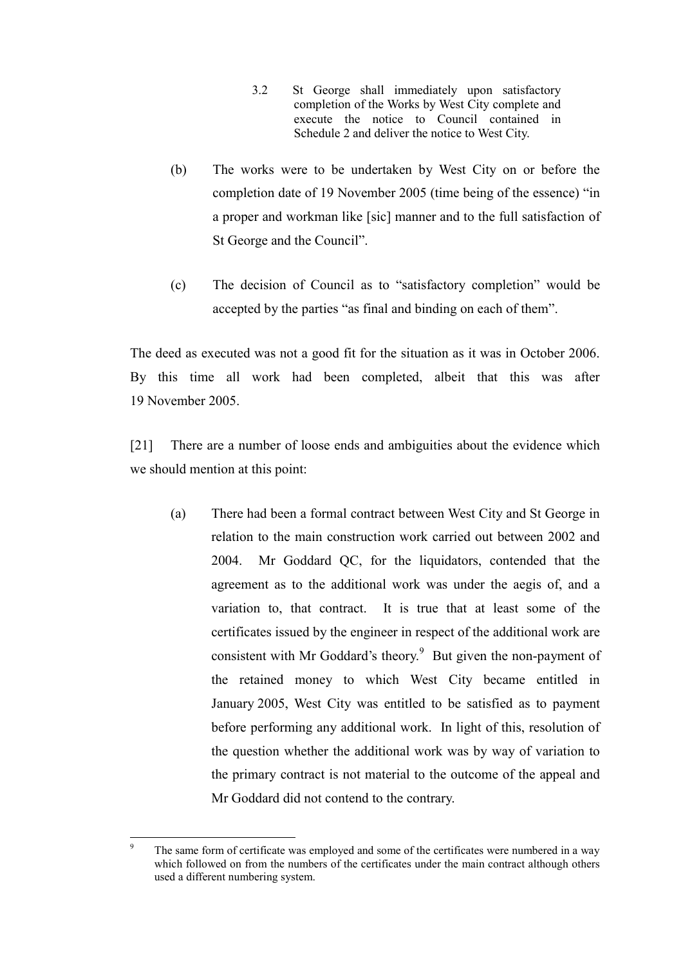- 3.2 St George shall immediately upon satisfactory completion of the Works by West City complete and execute the notice to Council contained in Schedule 2 and deliver the notice to West City.
- (b) The works were to be undertaken by West City on or before the completion date of 19 November 2005 (time being of the essence) "in a proper and workman like [sic] manner and to the full satisfaction of St George and the Council".
- (c) The decision of Council as to "satisfactory completion" would be accepted by the parties "as final and binding on each of them".

The deed as executed was not a good fit for the situation as it was in October 2006. By this time all work had been completed, albeit that this was after 19 November 2005.

[21] There are a number of loose ends and ambiguities about the evidence which we should mention at this point:

(a) There had been a formal contract between West City and St George in relation to the main construction work carried out between 2002 and 2004. Mr Goddard QC, for the liquidators, contended that the agreement as to the additional work was under the aegis of, and a variation to, that contract. It is true that at least some of the certificates issued by the engineer in respect of the additional work are consistent with Mr Goddard's theory.<sup>9</sup> But given the non-payment of the retained money to which West City became entitled in January 2005, West City was entitled to be satisfied as to payment before performing any additional work. In light of this, resolution of the question whether the additional work was by way of variation to the primary contract is not material to the outcome of the appeal and Mr Goddard did not contend to the contrary.

 $\overline{a}$ 

The same form of certificate was employed and some of the certificates were numbered in a way which followed on from the numbers of the certificates under the main contract although others used a different numbering system.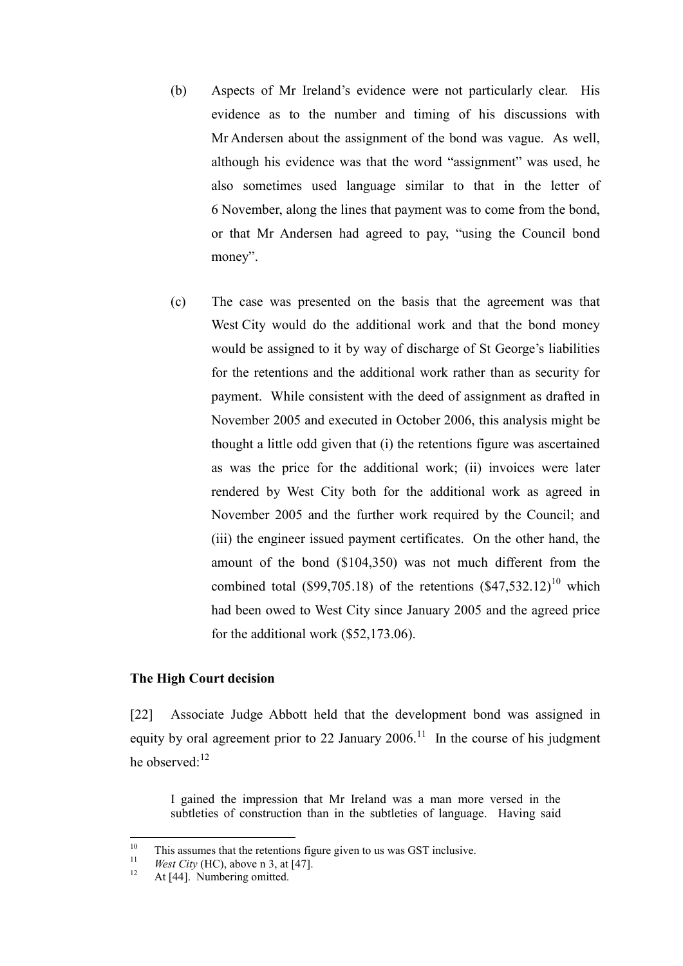- (b) Aspects of Mr Ireland's evidence were not particularly clear. His evidence as to the number and timing of his discussions with Mr Andersen about the assignment of the bond was vague. As well, although his evidence was that the word "assignment" was used, he also sometimes used language similar to that in the letter of 6 November, along the lines that payment was to come from the bond, or that Mr Andersen had agreed to pay, "using the Council bond money".
- <span id="page-9-1"></span>(c) The case was presented on the basis that the agreement was that West City would do the additional work and that the bond money would be assigned to it by way of discharge of St George's liabilities for the retentions and the additional work rather than as security for payment. While consistent with the deed of assignment as drafted in November 2005 and executed in October 2006, this analysis might be thought a little odd given that (i) the retentions figure was ascertained as was the price for the additional work; (ii) invoices were later rendered by West City both for the additional work as agreed in November 2005 and the further work required by the Council; and (iii) the engineer issued payment certificates. On the other hand, the amount of the bond (\$104,350) was not much different from the combined total (\$99,705.18) of the retentions  $(\$47,532.12)^{10}$  which had been owed to West City since January 2005 and the agreed price for the additional work (\$52,173.06).

# **The High Court decision**

<span id="page-9-0"></span>[22] Associate Judge Abbott held that the development bond was assigned in equity by oral agreement prior to 22 January 2006.<sup>11</sup> In the course of his judgment he observed: $12$ 

I gained the impression that Mr Ireland was a man more versed in the subtleties of construction than in the subtleties of language. Having said

 $10\,$ <sup>10</sup> This assumes that the retentions figure given to us was GST inclusive.

<sup>&</sup>lt;sup>11</sup> *West City* (HC), above n [3,](#page-2-1) at [47].

At [44]. Numbering omitted.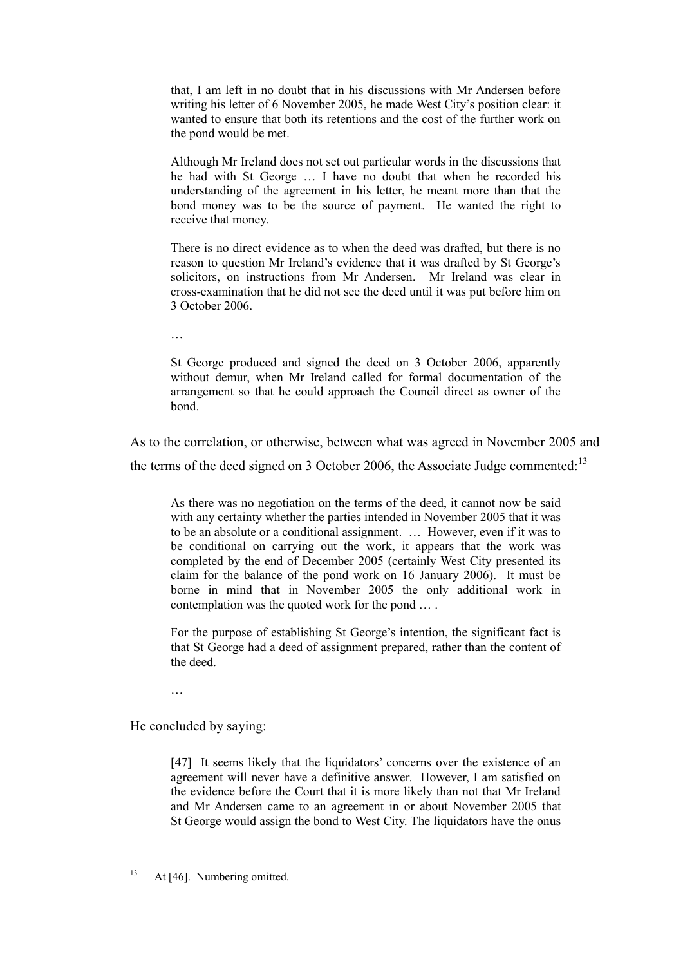that, I am left in no doubt that in his discussions with Mr Andersen before writing his letter of 6 November 2005, he made West City's position clear: it wanted to ensure that both its retentions and the cost of the further work on the pond would be met.

Although Mr Ireland does not set out particular words in the discussions that he had with St George … I have no doubt that when he recorded his understanding of the agreement in his letter, he meant more than that the bond money was to be the source of payment. He wanted the right to receive that money.

There is no direct evidence as to when the deed was drafted, but there is no reason to question Mr Ireland's evidence that it was drafted by St George's solicitors, on instructions from Mr Andersen. Mr Ireland was clear in cross-examination that he did not see the deed until it was put before him on 3 October 2006.

…

St George produced and signed the deed on 3 October 2006, apparently without demur, when Mr Ireland called for formal documentation of the arrangement so that he could approach the Council direct as owner of the bond.

As to the correlation, or otherwise, between what was agreed in November 2005 and the terms of the deed signed on 3 October 2006, the Associate Judge commented: $13$ 

As there was no negotiation on the terms of the deed, it cannot now be said with any certainty whether the parties intended in November 2005 that it was to be an absolute or a conditional assignment. … However, even if it was to be conditional on carrying out the work, it appears that the work was completed by the end of December 2005 (certainly West City presented its claim for the balance of the pond work on 16 January 2006). It must be borne in mind that in November 2005 the only additional work in contemplation was the quoted work for the pond … .

For the purpose of establishing St George's intention, the significant fact is that St George had a deed of assignment prepared, rather than the content of the deed.

…

He concluded by saying:

[47] It seems likely that the liquidators' concerns over the existence of an agreement will never have a definitive answer. However, I am satisfied on the evidence before the Court that it is more likely than not that Mr Ireland and Mr Andersen came to an agreement in or about November 2005 that St George would assign the bond to West City. The liquidators have the onus

 $13$ At [46]. Numbering omitted.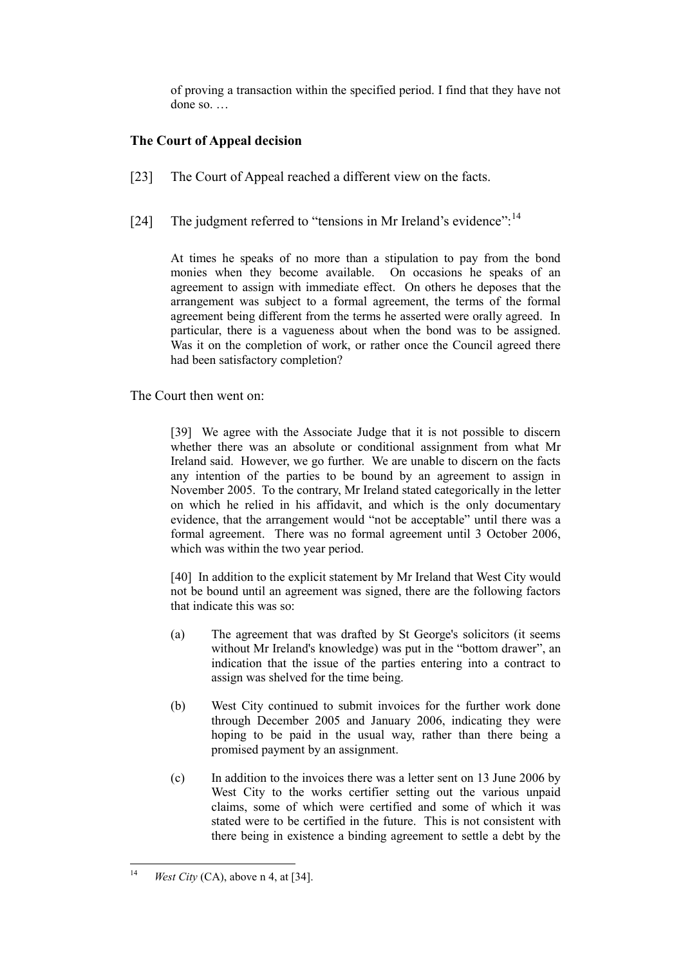of proving a transaction within the specified period. I find that they have not done so. …

# **The Court of Appeal decision**

- <span id="page-11-0"></span>[23] The Court of Appeal reached a different view on the facts.
- <span id="page-11-1"></span>[24] The judgment referred to "tensions in Mr Ireland's evidence":<sup>14</sup>

At times he speaks of no more than a stipulation to pay from the bond monies when they become available. On occasions he speaks of an agreement to assign with immediate effect. On others he deposes that the arrangement was subject to a formal agreement, the terms of the formal agreement being different from the terms he asserted were orally agreed. In particular, there is a vagueness about when the bond was to be assigned. Was it on the completion of work, or rather once the Council agreed there had been satisfactory completion?

The Court then went on:

[39] We agree with the Associate Judge that it is not possible to discern whether there was an absolute or conditional assignment from what Mr Ireland said. However, we go further. We are unable to discern on the facts any intention of the parties to be bound by an agreement to assign in November 2005. To the contrary, Mr Ireland stated categorically in the letter on which he relied in his affidavit, and which is the only documentary evidence, that the arrangement would "not be acceptable" until there was a formal agreement. There was no formal agreement until 3 October 2006, which was within the two year period.

[40] In addition to the explicit statement by Mr Ireland that West City would not be bound until an agreement was signed, there are the following factors that indicate this was so:

- (a) The agreement that was drafted by St George's solicitors (it seems without Mr Ireland's knowledge) was put in the "bottom drawer", an indication that the issue of the parties entering into a contract to assign was shelved for the time being.
- (b) West City continued to submit invoices for the further work done through December 2005 and January 2006, indicating they were hoping to be paid in the usual way, rather than there being a promised payment by an assignment.
- (c) In addition to the invoices there was a letter sent on 13 June 2006 by West City to the works certifier setting out the various unpaid claims, some of which were certified and some of which it was stated were to be certified in the future. This is not consistent with there being in existence a binding agreement to settle a debt by the

 $14$ *West City* (CA), above n [4,](#page-3-1) at [34].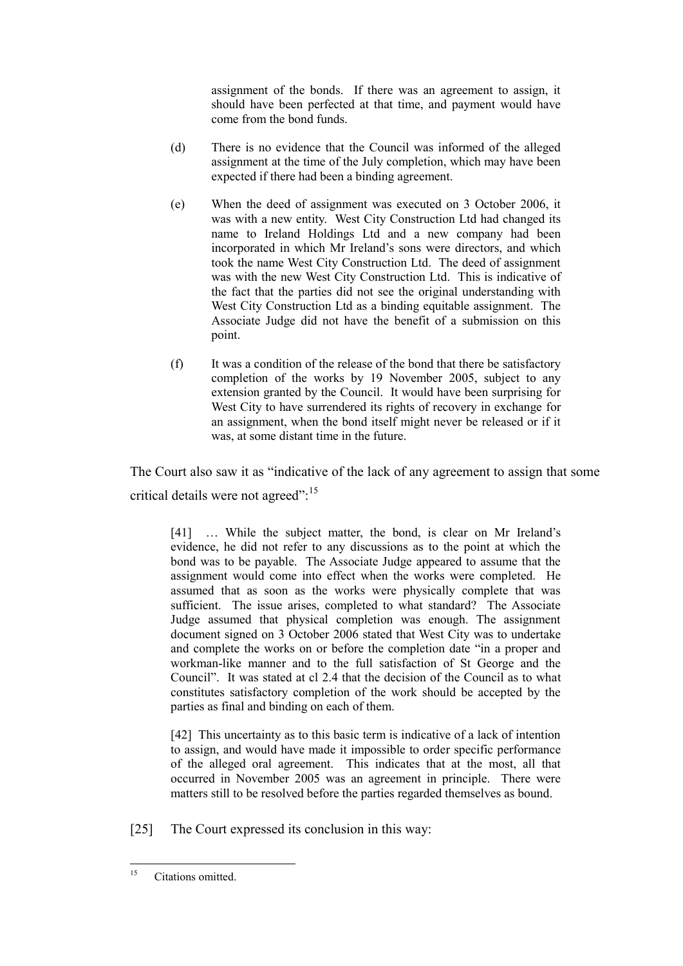assignment of the bonds. If there was an agreement to assign, it should have been perfected at that time, and payment would have come from the bond funds.

- (d) There is no evidence that the Council was informed of the alleged assignment at the time of the July completion, which may have been expected if there had been a binding agreement.
- (e) When the deed of assignment was executed on 3 October 2006, it was with a new entity. West City Construction Ltd had changed its name to Ireland Holdings Ltd and a new company had been incorporated in which Mr Ireland's sons were directors, and which took the name West City Construction Ltd. The deed of assignment was with the new West City Construction Ltd. This is indicative of the fact that the parties did not see the original understanding with West City Construction Ltd as a binding equitable assignment. The Associate Judge did not have the benefit of a submission on this point.
- (f) It was a condition of the release of the bond that there be satisfactory completion of the works by 19 November 2005, subject to any extension granted by the Council. It would have been surprising for West City to have surrendered its rights of recovery in exchange for an assignment, when the bond itself might never be released or if it was, at some distant time in the future.

The Court also saw it as "indicative of the lack of any agreement to assign that some critical details were not agreed":<sup>15</sup>

[41] ... While the subject matter, the bond, is clear on Mr Ireland's evidence, he did not refer to any discussions as to the point at which the bond was to be payable. The Associate Judge appeared to assume that the assignment would come into effect when the works were completed. He assumed that as soon as the works were physically complete that was sufficient. The issue arises, completed to what standard? The Associate Judge assumed that physical completion was enough. The assignment document signed on 3 October 2006 stated that West City was to undertake and complete the works on or before the completion date "in a proper and workman-like manner and to the full satisfaction of St George and the Council". It was stated at cl 2.4 that the decision of the Council as to what constitutes satisfactory completion of the work should be accepted by the parties as final and binding on each of them.

[42] This uncertainty as to this basic term is indicative of a lack of intention to assign, and would have made it impossible to order specific performance of the alleged oral agreement. This indicates that at the most, all that occurred in November 2005 was an agreement in principle. There were matters still to be resolved before the parties regarded themselves as bound.

[25] The Court expressed its conclusion in this way:

<sup>15</sup> Citations omitted.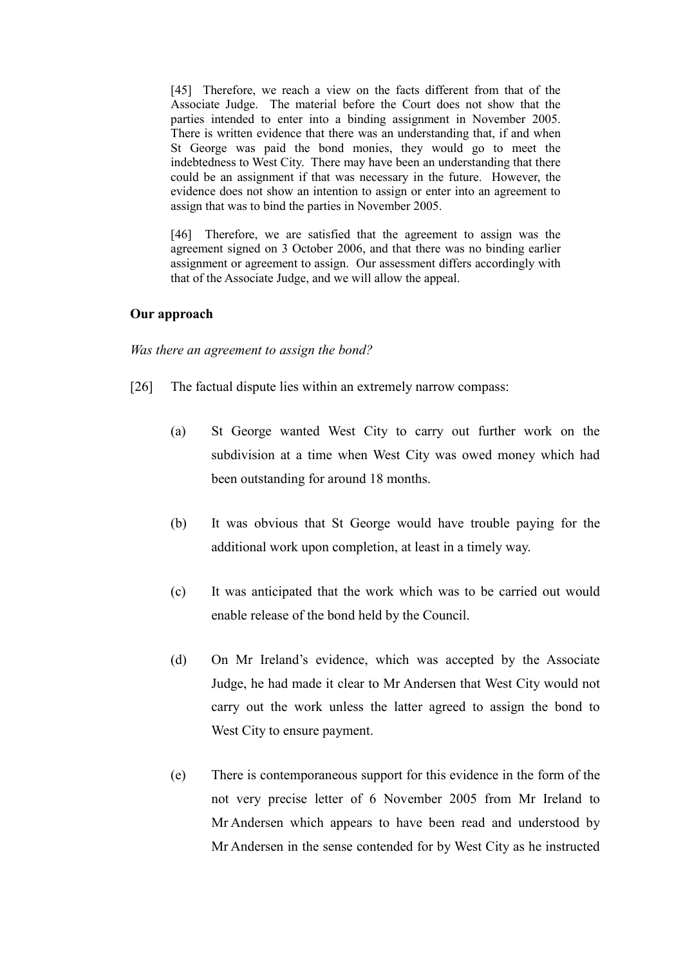[45] Therefore, we reach a view on the facts different from that of the Associate Judge. The material before the Court does not show that the parties intended to enter into a binding assignment in November 2005. There is written evidence that there was an understanding that, if and when St George was paid the bond monies, they would go to meet the indebtedness to West City. There may have been an understanding that there could be an assignment if that was necessary in the future. However, the evidence does not show an intention to assign or enter into an agreement to assign that was to bind the parties in November 2005.

[46] Therefore, we are satisfied that the agreement to assign was the agreement signed on 3 October 2006, and that there was no binding earlier assignment or agreement to assign. Our assessment differs accordingly with that of the Associate Judge, and we will allow the appeal.

### **Our approach**

*Was there an agreement to assign the bond?*

- <span id="page-13-0"></span>[26] The factual dispute lies within an extremely narrow compass:
	- (a) St George wanted West City to carry out further work on the subdivision at a time when West City was owed money which had been outstanding for around 18 months.
	- (b) It was obvious that St George would have trouble paying for the additional work upon completion, at least in a timely way.
	- (c) It was anticipated that the work which was to be carried out would enable release of the bond held by the Council.
	- (d) On Mr Ireland's evidence, which was accepted by the Associate Judge, he had made it clear to Mr Andersen that West City would not carry out the work unless the latter agreed to assign the bond to West City to ensure payment.
	- (e) There is contemporaneous support for this evidence in the form of the not very precise letter of 6 November 2005 from Mr Ireland to Mr Andersen which appears to have been read and understood by Mr Andersen in the sense contended for by West City as he instructed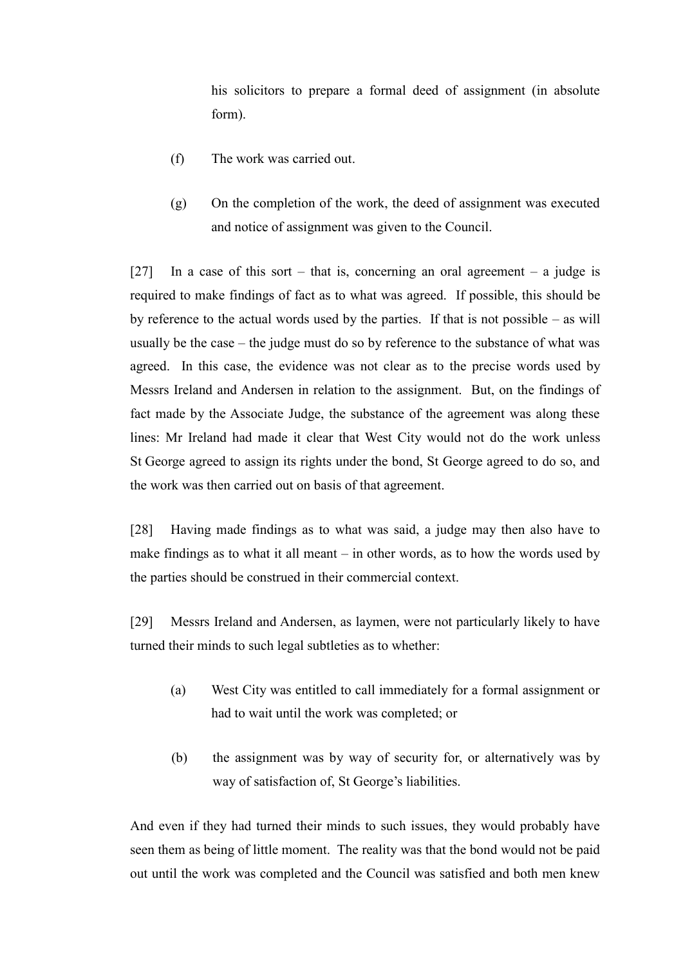his solicitors to prepare a formal deed of assignment (in absolute form).

- (f) The work was carried out.
- (g) On the completion of the work, the deed of assignment was executed and notice of assignment was given to the Council.

[27] In a case of this sort – that is, concerning an oral agreement – a judge is required to make findings of fact as to what was agreed. If possible, this should be by reference to the actual words used by the parties. If that is not possible – as will usually be the case – the judge must do so by reference to the substance of what was agreed. In this case, the evidence was not clear as to the precise words used by Messrs Ireland and Andersen in relation to the assignment. But, on the findings of fact made by the Associate Judge, the substance of the agreement was along these lines: Mr Ireland had made it clear that West City would not do the work unless St George agreed to assign its rights under the bond, St George agreed to do so, and the work was then carried out on basis of that agreement.

[28] Having made findings as to what was said, a judge may then also have to make findings as to what it all meant  $-$  in other words, as to how the words used by the parties should be construed in their commercial context.

[29] Messrs Ireland and Andersen, as laymen, were not particularly likely to have turned their minds to such legal subtleties as to whether:

- <span id="page-14-0"></span>(a) West City was entitled to call immediately for a formal assignment or had to wait until the work was completed; or
- (b) the assignment was by way of security for, or alternatively was by way of satisfaction of, St George's liabilities.

And even if they had turned their minds to such issues, they would probably have seen them as being of little moment. The reality was that the bond would not be paid out until the work was completed and the Council was satisfied and both men knew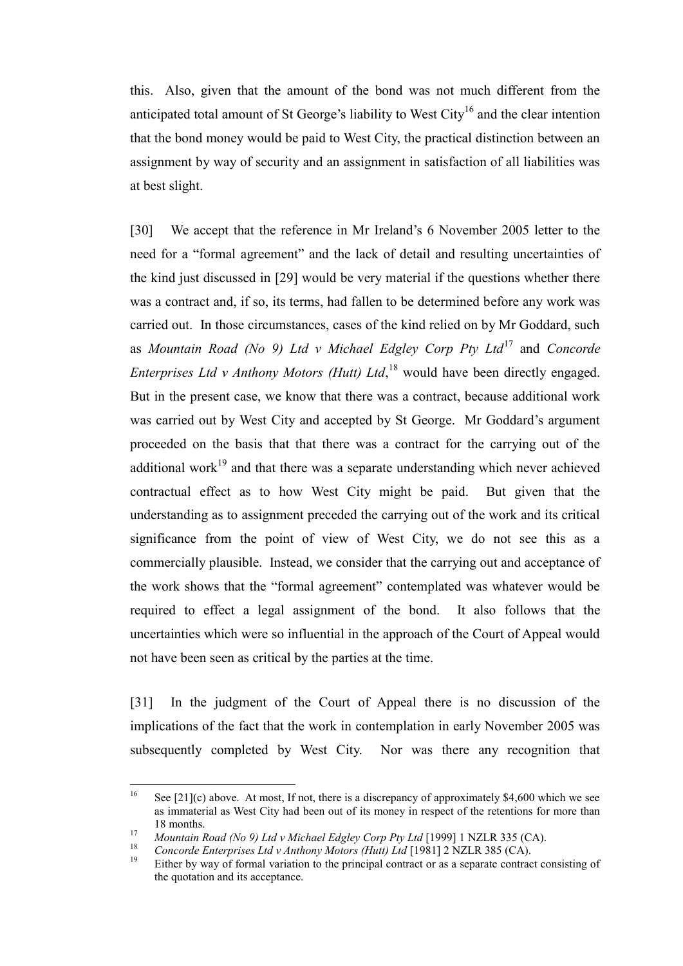this. Also, given that the amount of the bond was not much different from the anticipated total amount of St George's liability to West City<sup>16</sup> and the clear intention that the bond money would be paid to West City, the practical distinction between an assignment by way of security and an assignment in satisfaction of all liabilities was at best slight.

[30] We accept that the reference in Mr Ireland's 6 November 2005 letter to the need for a "formal agreement" and the lack of detail and resulting uncertainties of the kind just discussed in [\[29\]](#page-14-0) would be very material if the questions whether there was a contract and, if so, its terms, had fallen to be determined before any work was carried out. In those circumstances, cases of the kind relied on by Mr Goddard, such as *Mountain Road (No 9) Ltd v Michael Edgley Corp Pty Ltd*<sup>17</sup> and *Concorde Enterprises Ltd v Anthony Motors (Hutt) Ltd*, <sup>18</sup> would have been directly engaged. But in the present case, we know that there was a contract, because additional work was carried out by West City and accepted by St George. Mr Goddard's argument proceeded on the basis that that there was a contract for the carrying out of the additional work<sup>19</sup> and that there was a separate understanding which never achieved contractual effect as to how West City might be paid. But given that the understanding as to assignment preceded the carrying out of the work and its critical significance from the point of view of West City, we do not see this as a commercially plausible. Instead, we consider that the carrying out and acceptance of the work shows that the "formal agreement" contemplated was whatever would be required to effect a legal assignment of the bond. It also follows that the uncertainties which were so influential in the approach of the Court of Appeal would not have been seen as critical by the parties at the time.

[31] In the judgment of the Court of Appeal there is no discussion of the implications of the fact that the work in contemplation in early November 2005 was subsequently completed by West City. Nor was there any recognition that

<sup>16</sup> See  $[21](c)$  above. At most, If not, there is a discrepancy of approximately \$4,600 which we see as immaterial as West City had been out of its money in respect of the retentions for more than 18 months.

<sup>&</sup>lt;sup>17</sup> *Mountain Road (No 9) Ltd v Michael Edgley Corp Pty Ltd* [1999] 1 NZLR 335 (CA).

<sup>&</sup>lt;sup>18</sup> *Concorde Enterprises Ltd v Anthony Motors (Hutt) Ltd* [1981] 2 NZLR 385 (CA).

Either by way of formal variation to the principal contract or as a separate contract consisting of the quotation and its acceptance.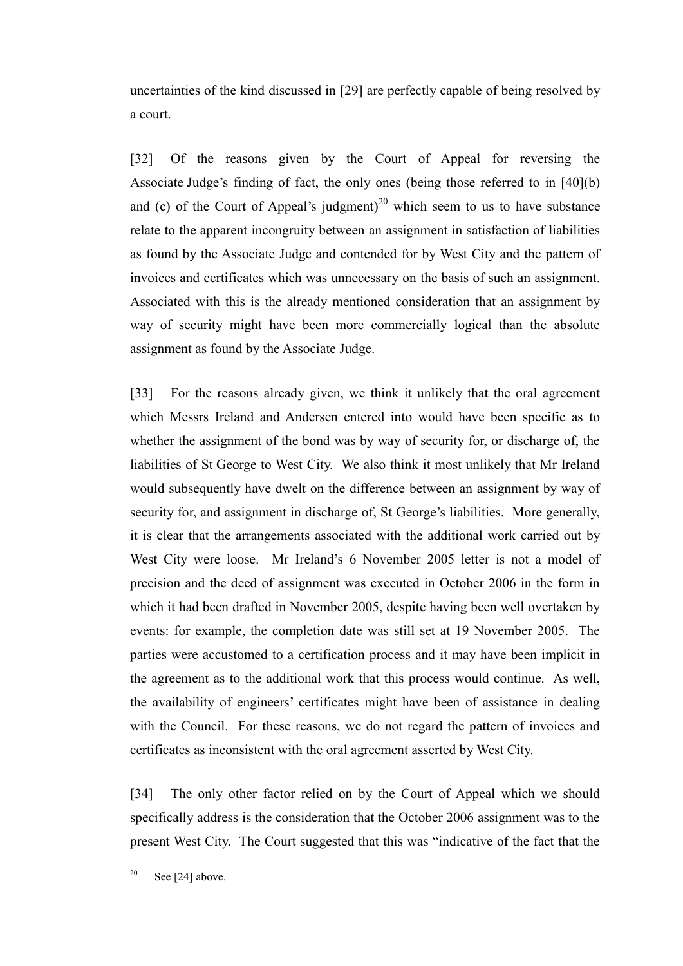uncertainties of the kind discussed in [\[29\]](#page-14-0) are perfectly capable of being resolved by a court.

[32] Of the reasons given by the Court of Appeal for reversing the Associate Judge's finding of fact, the only ones (being those referred to in [40](b) and (c) of the Court of Appeal's judgment)<sup>20</sup> which seem to us to have substance relate to the apparent incongruity between an assignment in satisfaction of liabilities as found by the Associate Judge and contended for by West City and the pattern of invoices and certificates which was unnecessary on the basis of such an assignment. Associated with this is the already mentioned consideration that an assignment by way of security might have been more commercially logical than the absolute assignment as found by the Associate Judge.

[33] For the reasons already given, we think it unlikely that the oral agreement which Messrs Ireland and Andersen entered into would have been specific as to whether the assignment of the bond was by way of security for, or discharge of, the liabilities of St George to West City. We also think it most unlikely that Mr Ireland would subsequently have dwelt on the difference between an assignment by way of security for, and assignment in discharge of, St George's liabilities. More generally, it is clear that the arrangements associated with the additional work carried out by West City were loose. Mr Ireland's 6 November 2005 letter is not a model of precision and the deed of assignment was executed in October 2006 in the form in which it had been drafted in November 2005, despite having been well overtaken by events: for example, the completion date was still set at 19 November 2005. The parties were accustomed to a certification process and it may have been implicit in the agreement as to the additional work that this process would continue. As well, the availability of engineers' certificates might have been of assistance in dealing with the Council. For these reasons, we do not regard the pattern of invoices and certificates as inconsistent with the oral agreement asserted by West City.

[34] The only other factor relied on by the Court of Appeal which we should specifically address is the consideration that the October 2006 assignment was to the present West City. The Court suggested that this was "indicative of the fact that the

<sup>20</sup> Se[e \[24\]](#page-11-1) above.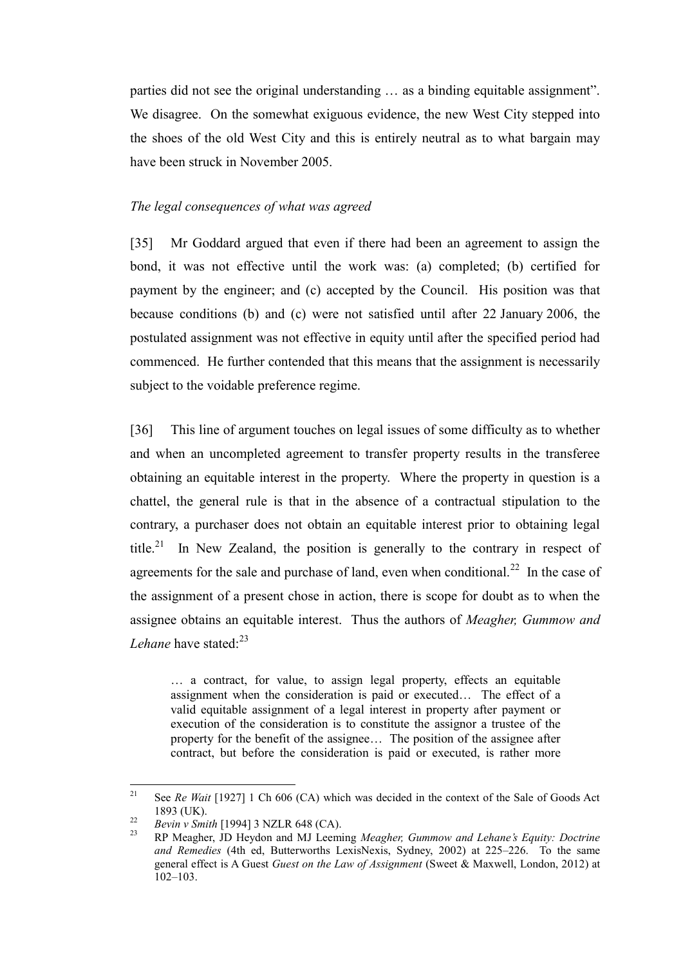parties did not see the original understanding … as a binding equitable assignment". We disagree. On the somewhat exiguous evidence, the new West City stepped into the shoes of the old West City and this is entirely neutral as to what bargain may have been struck in November 2005.

### *The legal consequences of what was agreed*

<span id="page-17-0"></span>[35] Mr Goddard argued that even if there had been an agreement to assign the bond, it was not effective until the work was: (a) completed; (b) certified for payment by the engineer; and (c) accepted by the Council. His position was that because conditions (b) and (c) were not satisfied until after 22 January 2006, the postulated assignment was not effective in equity until after the specified period had commenced. He further contended that this means that the assignment is necessarily subject to the voidable preference regime.

[36] This line of argument touches on legal issues of some difficulty as to whether and when an uncompleted agreement to transfer property results in the transferee obtaining an equitable interest in the property. Where the property in question is a chattel, the general rule is that in the absence of a contractual stipulation to the contrary, a purchaser does not obtain an equitable interest prior to obtaining legal title.<sup>21</sup> In New Zealand, the position is generally to the contrary in respect of agreements for the sale and purchase of land, even when conditional.<sup>22</sup> In the case of the assignment of a present chose in action, there is scope for doubt as to when the assignee obtains an equitable interest. Thus the authors of *Meagher, Gummow and Lehane* have stated:<sup>23</sup>

<span id="page-17-2"></span><span id="page-17-1"></span>… a contract, for value, to assign legal property, effects an equitable assignment when the consideration is paid or executed… The effect of a valid equitable assignment of a legal interest in property after payment or execution of the consideration is to constitute the assignor a trustee of the property for the benefit of the assignee… The position of the assignee after contract, but before the consideration is paid or executed, is rather more

<sup>21</sup> <sup>21</sup> See *Re Wait* [1927] 1 Ch 606 (CA) which was decided in the context of the Sale of Goods Act 1893 (UK).

<sup>22</sup> *Bevin v Smith* [1994] 3 NZLR 648 (CA).

<sup>23</sup> RP Meagher, JD Heydon and MJ Leeming *Meagher, Gummow and Lehane's Equity: Doctrine and Remedies* (4th ed, Butterworths LexisNexis, Sydney, 2002) at 225–226. To the same general effect is A Guest *Guest on the Law of Assignment* (Sweet & Maxwell, London, 2012) at  $102 - 103$ .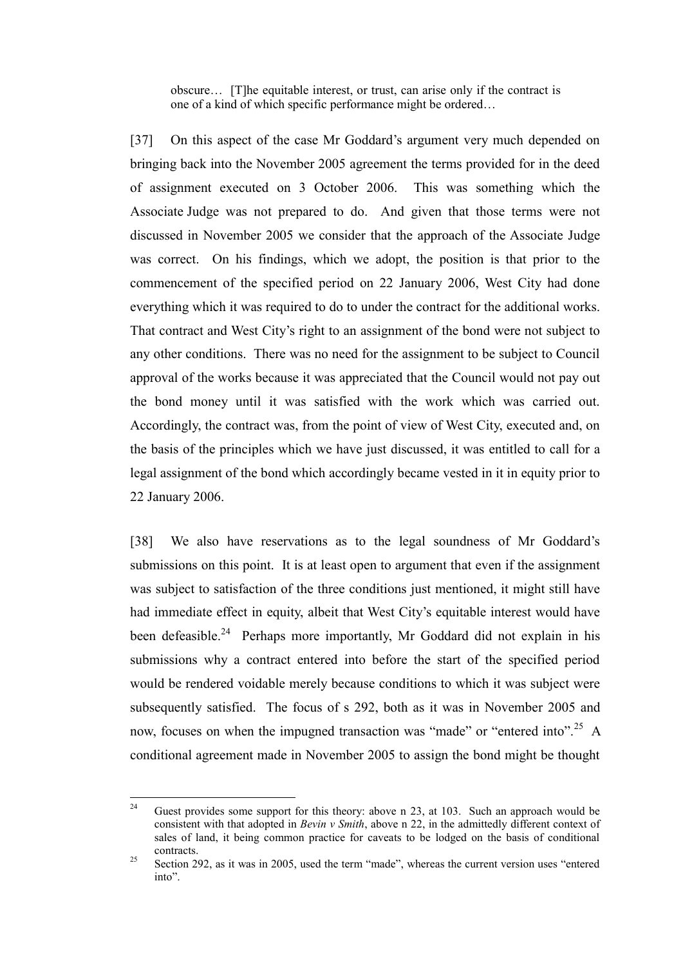obscure… [T]he equitable interest, or trust, can arise only if the contract is one of a kind of which specific performance might be ordered…

[37] On this aspect of the case Mr Goddard's argument very much depended on bringing back into the November 2005 agreement the terms provided for in the deed of assignment executed on 3 October 2006. This was something which the Associate Judge was not prepared to do. And given that those terms were not discussed in November 2005 we consider that the approach of the Associate Judge was correct. On his findings, which we adopt, the position is that prior to the commencement of the specified period on 22 January 2006, West City had done everything which it was required to do to under the contract for the additional works. That contract and West City's right to an assignment of the bond were not subject to any other conditions. There was no need for the assignment to be subject to Council approval of the works because it was appreciated that the Council would not pay out the bond money until it was satisfied with the work which was carried out. Accordingly, the contract was, from the point of view of West City, executed and, on the basis of the principles which we have just discussed, it was entitled to call for a legal assignment of the bond which accordingly became vested in it in equity prior to 22 January 2006.

[38] We also have reservations as to the legal soundness of Mr Goddard's submissions on this point. It is at least open to argument that even if the assignment was subject to satisfaction of the three conditions just mentioned, it might still have had immediate effect in equity, albeit that West City's equitable interest would have been defeasible.<sup>24</sup> Perhaps more importantly, Mr Goddard did not explain in his submissions why a contract entered into before the start of the specified period would be rendered voidable merely because conditions to which it was subject were subsequently satisfied. The focus of s 292, both as it was in November 2005 and now, focuses on when the impugned transaction was "made" or "entered into".<sup>25</sup> A conditional agreement made in November 2005 to assign the bond might be thought

 $24$ Guest provides some support for this theory: above n [23,](#page-17-1) at 103. Such an approach would be consistent with that adopted in *Bevin v Smith*, above n [22,](#page-17-2) in the admittedly different context of sales of land, it being common practice for caveats to be lodged on the basis of conditional contracts.

<sup>&</sup>lt;sup>25</sup> Section 292, as it was in 2005, used the term "made", whereas the current version uses "entered into".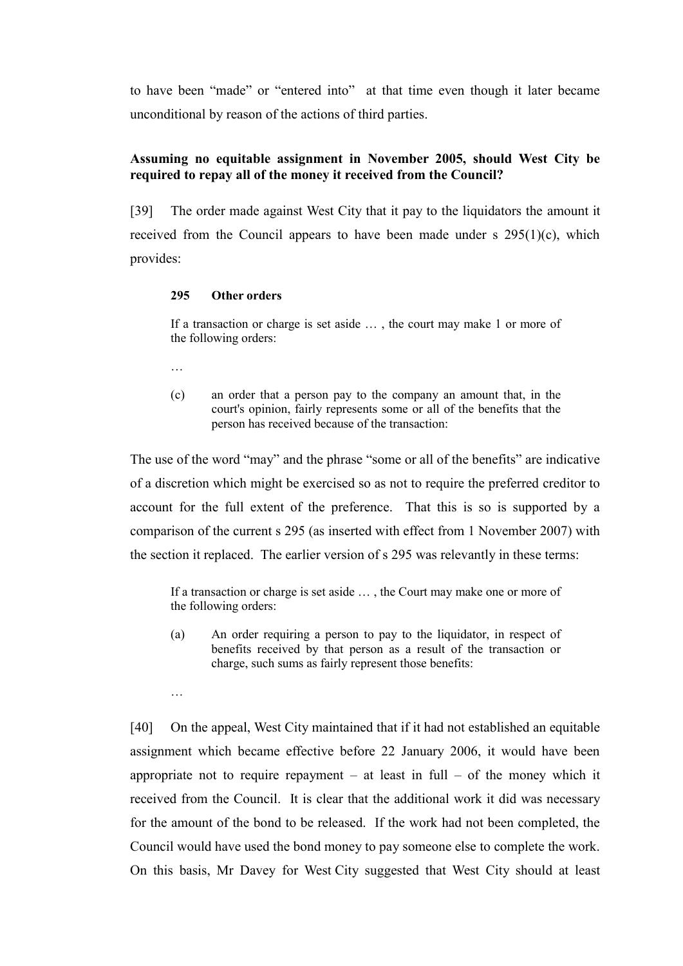to have been "made" or "entered into" at that time even though it later became unconditional by reason of the actions of third parties.

# **Assuming no equitable assignment in November 2005, should West City be required to repay all of the money it received from the Council?**

<span id="page-19-0"></span>[39] The order made against West City that it pay to the liquidators the amount it received from the Council appears to have been made under  $s$  295(1)(c), which provides:

## **295 Other orders**

If a transaction or charge is set aside … , the court may make 1 or more of the following orders:

…

…

(c) an order that a person pay to the company an amount that, in the court's opinion, fairly represents some or all of the benefits that the person has received because of the transaction:

The use of the word "may" and the phrase "some or all of the benefits" are indicative of a discretion which might be exercised so as not to require the preferred creditor to account for the full extent of the preference. That this is so is supported by a comparison of the current s 295 (as inserted with effect from 1 November 2007) with the section it replaced. The earlier version of s 295 was relevantly in these terms:

If a transaction or charge is set aside … , the Court may make one or more of the following orders:

(a) An order requiring a person to pay to the liquidator, in respect of benefits received by that person as a result of the transaction or charge, such sums as fairly represent those benefits:

[40] On the appeal, West City maintained that if it had not established an equitable assignment which became effective before 22 January 2006, it would have been appropriate not to require repayment – at least in full – of the money which it received from the Council. It is clear that the additional work it did was necessary for the amount of the bond to be released. If the work had not been completed, the Council would have used the bond money to pay someone else to complete the work. On this basis, Mr Davey for West City suggested that West City should at least